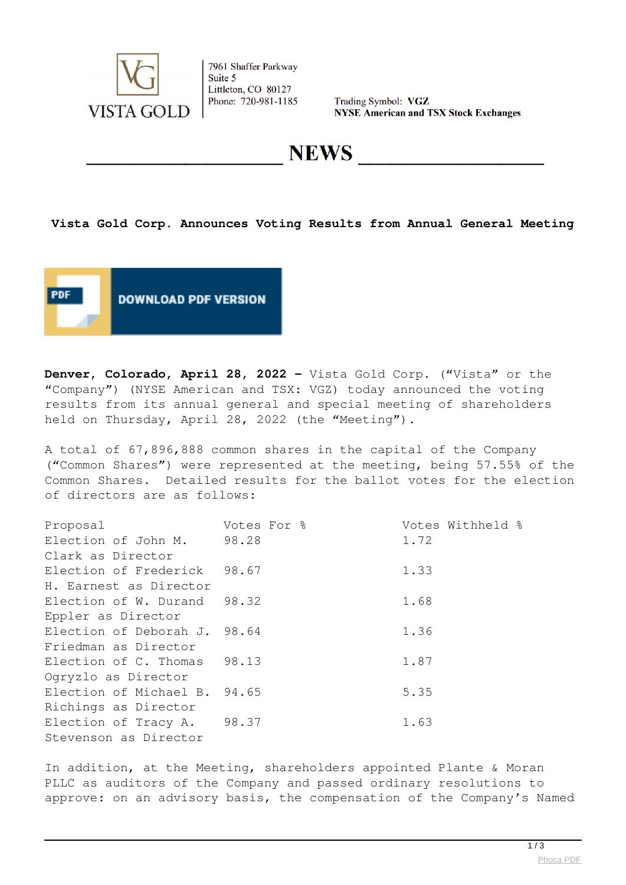

7961 Shaffer Parkway Suite 5 Littleton, CO 80127 Phone: 720-981-1185

Trading Symbol: VGZ **NYSE American and TSX Stock Exchanges** 

**NEWS** 

## **Vista Gold Corp. Announces Voting Results from Annual General Meeting**



**Denver, Colorado, April 28, 2022 -** Vista Gold Corp. ("Vista" or the "Company") (NYSE American and TSX: VGZ) today announced the voting results from its annual general and special meeting of shareholders held on Thursday, April 28, 2022 (the "Meeting").

A total of 67,896,888 common shares in the capital of the Company ("Common Shares") were represented at the meeting, being 57.55% of the Common Shares. Detailed results for the ballot votes for the election of directors are as follows:

| Proposal                     | Votes For % | Votes Withheld % |
|------------------------------|-------------|------------------|
| Election of John M.          | 98.28       | 1.72             |
| Clark as Director            |             |                  |
| Election of Frederick        | 98.67       | 1.33             |
| H. Earnest as Director       |             |                  |
| Election of W. Durand        | 98.32       | 1.68             |
| Eppler as Director           |             |                  |
| Election of Deborah J. 98.64 |             | 1.36             |
| Friedman as Director         |             |                  |
| Election of C. Thomas        | 98.13       | 1.87             |
| Ogryzlo as Director          |             |                  |
| Election of Michael B. 94.65 |             | 5.35             |
| Richings as Director         |             |                  |
| Election of Tracy A.         | 98.37       | 1.63             |
| Stevenson as Director        |             |                  |

In addition, at the Meeting, shareholders appointed Plante & Moran PLLC as auditors of the Company and passed ordinary resolutions to approve: on an advisory basis, the compensation of the Company's Named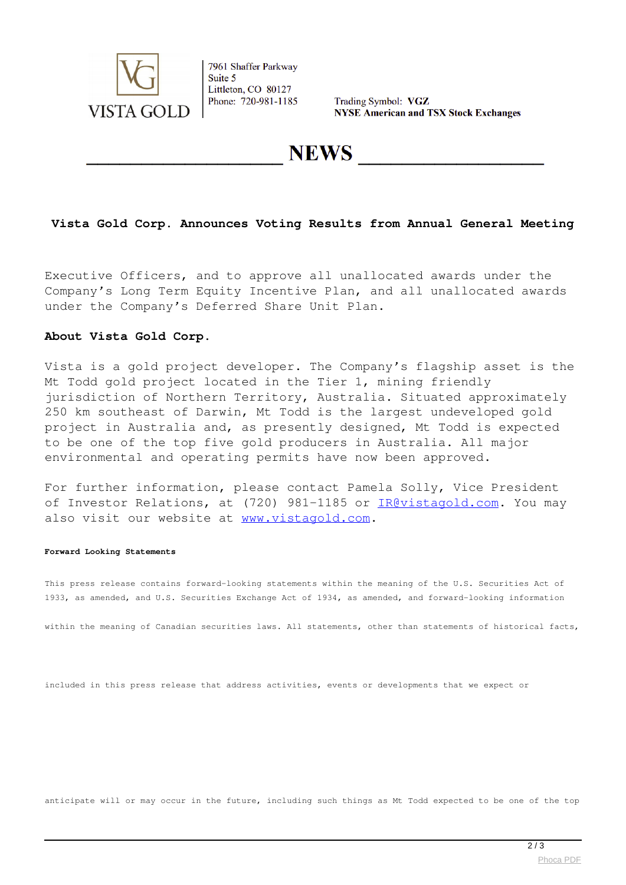

7961 Shaffer Parkway Suite 5 Littleton, CO 80127 Phone: 720-981-1185

Trading Symbol: VGZ **NYSE American and TSX Stock Exchanges** 

**NEWS** 

## **Vista Gold Corp. Announces Voting Results from Annual General Meeting**

Executive Officers, and to approve all unallocated awards under the Company's Long Term Equity Incentive Plan, and all unallocated awards under the Company's Deferred Share Unit Plan.

### **About Vista Gold Corp.**

Vista is a gold project developer. The Company's flagship asset is the Mt Todd gold project located in the Tier 1, mining friendly jurisdiction of Northern Territory, Australia. Situated approximately 250 km southeast of Darwin, Mt Todd is the largest undeveloped gold project in Australia and, as presently designed, Mt Todd is expected to be one of the top five gold producers in Australia. All major environmental and operating permits have now been approved.

For further information, please contact Pamela Solly, Vice President of Investor Relations, at (720) 981-1185 or [IR@vistagold.com.](mailto:IR@vistagold.com) You may also visit our website at [www.vistagold.com](http://www.vistagold.com).

#### **Forward Looking Statements**

This press release contains forward-looking statements within the meaning of the U.S. Securities Act of 1933, as amended, and U.S. Securities Exchange Act of 1934, as amended, and forward-looking information

within the meaning of Canadian securities laws. All statements, other than statements of historical facts,

included in this press release that address activities, events or developments that we expect or

anticipate will or may occur in the future, including such things as Mt Todd expected to be one of the top